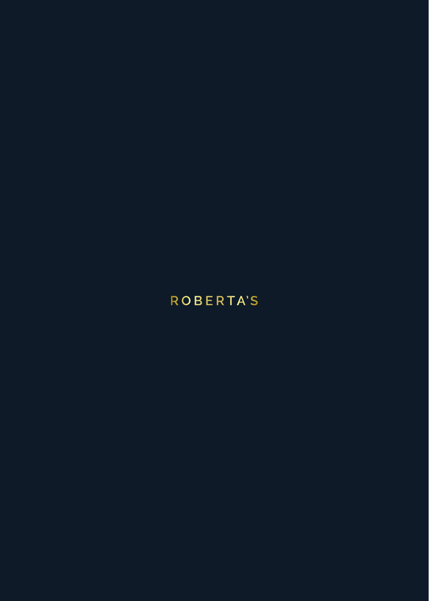# **ROBERTA'S**